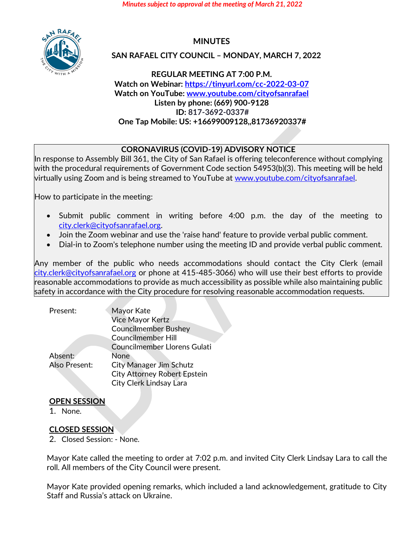*Minutes subject to approval at the meeting of March 21, 2022*



# **MINUTES**

### **SAN RAFAEL CITY COUNCIL – MONDAY, MARCH 7, 2022**

**REGULAR MEETING AT 7:00 P.M. Watch on Webinar: <https://tinyurl.com/cc-2022-03-07> Watch on YouTube[: www.youtube.com/cityofsanrafael](http://www.youtube.com/cityofsanrafael) Listen by phone: (669) 900-9128 ID: 817-3692-0337# One Tap Mobile: US: +16699009128,,81736920337#**

### **CORONAVIRUS (COVID-19) ADVISORY NOTICE**

In response to Assembly Bill 361, the City of San Rafael is offering teleconference without complying with the procedural requirements of Government Code section 54953(b)(3). This meeting will be held virtually using Zoom and is being streamed to YouTube at [www.youtube.com/cityofsanrafael.](http://www.youtube.com/cityofsanrafael)

How to participate in the meeting:

- Submit public comment in writing before 4:00 p.m. the day of the meeting to [city.clerk@cityofsanrafael.org.](mailto:city.clerk@cityofsanrafael.org)
- Join the Zoom webinar and use the 'raise hand' feature to provide verbal public comment.
- Dial-in to Zoom's telephone number using the meeting ID and provide verbal public comment.

Any member of the public who needs accommodations should contact the City Clerk (email [city.clerk@cityofsanrafael.org](mailto:city.clerk@cityofsanrafael.org) or phone at 415-485-3066) who will use their best efforts to provide reasonable accommodations to provide as much accessibility as possible while also maintaining public safety in accordance with the City procedure for resolving reasonable accommodation requests.

| Present:      | Mayor Kate                          |
|---------------|-------------------------------------|
|               | <b>Vice Mayor Kertz</b>             |
|               | <b>Councilmember Bushey</b>         |
|               | <b>Councilmember Hill</b>           |
|               | <b>Councilmember Llorens Gulati</b> |
| Absent:       | <b>None</b>                         |
| Also Present: | <b>City Manager Jim Schutz</b>      |
|               | <b>City Attorney Robert Epstein</b> |
|               | <b>City Clerk Lindsay Lara</b>      |
|               |                                     |

### **OPEN SESSION**

1. None.

### **CLOSED SESSION**

2. Closed Session: - None.

Mayor Kate called the meeting to order at 7:02 p.m. and invited City Clerk Lindsay Lara to call the roll. All members of the City Council were present.

Mayor Kate provided opening remarks, which included a land acknowledgement, gratitude to City Staff and Russia's attack on Ukraine.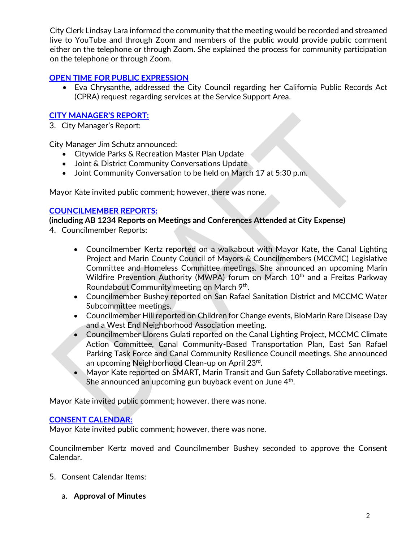City Clerk Lindsay Lara informed the community that the meeting would be recorded and streamed live to YouTube and through Zoom and members of the public would provide public comment either on the telephone or through Zoom. She explained the process for community participation on the telephone or through Zoom.

### **[OPEN TIME FOR PUBLIC EXPRESSION](https://youtu.be/Evdf22iu2wg?t=416)**

• Eva Chrysanthe, addressed the City Council regarding her California Public Records Act (CPRA) request regarding services at the Service Support Area.

# **[CITY MANAGER'S REPORT:](https://youtu.be/Evdf22iu2wg?t=588)**

3. City Manager's Report:

City Manager Jim Schutz announced:

- Citywide Parks & Recreation Master Plan Update
- Joint & District Community Conversations Update
- Joint Community Conversation to be held on March 17 at 5:30 p.m.

Mayor Kate invited public comment; however, there was none.

### **[COUNCILMEMBER REPORTS:](https://youtu.be/Evdf22iu2wg?t=1000)**

**(including AB 1234 Reports on Meetings and Conferences Attended at City Expense)**

- 4. Councilmember Reports:
	- Councilmember Kertz reported on a walkabout with Mayor Kate, the Canal Lighting Project and Marin County Council of Mayors & Councilmembers (MCCMC) Legislative Committee and Homeless Committee meetings. She announced an upcoming Marin Wildfire Prevention Authority (MWPA) forum on March 10<sup>th</sup> and a Freitas Parkway Roundabout Community meeting on March 9<sup>th</sup>.
	- Councilmember Bushey reported on San Rafael Sanitation District and MCCMC Water Subcommittee meetings.
	- Councilmember Hill reported on Children for Change events, BioMarin Rare Disease Day and a West End Neighborhood Association meeting.
	- Councilmember Llorens Gulati reported on the Canal Lighting Project, MCCMC Climate Action Committee, Canal Community-Based Transportation Plan, East San Rafael Parking Task Force and Canal Community Resilience Council meetings. She announced an upcoming Neighborhood Clean-up on April 23<sup>rd</sup>.
	- Mayor Kate reported on SMART, Marin Transit and Gun Safety Collaborative meetings. She announced an upcoming gun buyback event on June 4<sup>th</sup>.

Mayor Kate invited public comment; however, there was none.

### **[CONSENT CALENDAR:](https://youtu.be/Evdf22iu2wg?t=1708)**

Mayor Kate invited public comment; however, there was none.

Councilmember Kertz moved and Councilmember Bushey seconded to approve the Consent Calendar.

- 5. Consent Calendar Items:
	- a. **Approval of Minutes**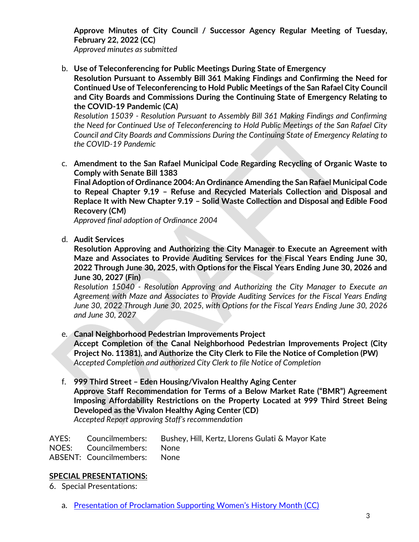**Approve Minutes of City Council / Successor Agency Regular Meeting of Tuesday, February 22, 2022 (CC)**

*Approved minutes as submitted*

b. **Use of Teleconferencing for Public Meetings During State of Emergency**

**Resolution Pursuant to Assembly Bill 361 Making Findings and Confirming the Need for Continued Use of Teleconferencing to Hold Public Meetings of the San Rafael City Council and City Boards and Commissions During the Continuing State of Emergency Relating to the COVID-19 Pandemic (CA)**

*Resolution 15039 - Resolution Pursuant to Assembly Bill 361 Making Findings and Confirming the Need for Continued Use of Teleconferencing to Hold Public Meetings of the San Rafael City Council and City Boards and Commissions During the Continuing State of Emergency Relating to the COVID-19 Pandemic*

c. **Amendment to the San Rafael Municipal Code Regarding Recycling of Organic Waste to Comply with Senate Bill 1383**

**Final Adoption of Ordinance 2004: An Ordinance Amending the San Rafael Municipal Code to Repeal Chapter 9.19 – Refuse and Recycled Materials Collection and Disposal and Replace It with New Chapter 9.19 – Solid Waste Collection and Disposal and Edible Food Recovery (CM)**

*Approved final adoption of Ordinance 2004*

d. **Audit Services**

**Resolution Approving and Authorizing the City Manager to Execute an Agreement with Maze and Associates to Provide Auditing Services for the Fiscal Years Ending June 30, 2022 Through June 30, 2025, with Options for the Fiscal Years Ending June 30, 2026 and June 30, 2027 (Fin)**

*Resolution 15040 - Resolution Approving and Authorizing the City Manager to Execute an Agreement with Maze and Associates to Provide Auditing Services for the Fiscal Years Ending June 30, 2022 Through June 30, 2025, with Options for the Fiscal Years Ending June 30, 2026 and June 30, 2027*

- e. **Canal Neighborhood Pedestrian Improvements Project Accept Completion of the Canal Neighborhood Pedestrian Improvements Project (City Project No. 11381), and Authorize the City Clerk to File the Notice of Completion (PW)** *Accepted Completion and authorized City Clerk to file Notice of Completion*
- f. **999 Third Street – Eden Housing/Vivalon Healthy Aging Center Approve Staff Recommendation for Terms of a Below Market Rate ("BMR") Agreement Imposing Affordability Restrictions on the Property Located at 999 Third Street Being Developed as the Vivalon Healthy Aging Center (CD)** *Accepted Report approving Staff's recommendation*

|                              | AYES: Councilmembers: Bushey, Hill, Kertz, Llorens Gulati & Mayor Kate |
|------------------------------|------------------------------------------------------------------------|
| NOES: Councilmembers: None   |                                                                        |
| ABSENT: Councilmembers: None |                                                                        |

### **SPECIAL PRESENTATIONS:**

6. Special Presentations:

a. [Presentation of Proclamation Supporting Women's History Month \(CC\)](https://youtu.be/Evdf22iu2wg?t=1780)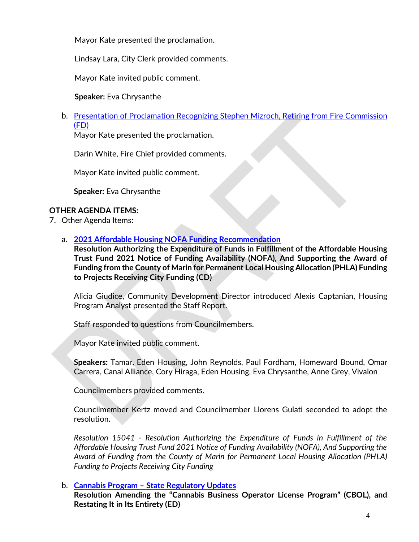Mayor Kate presented the proclamation.

Lindsay Lara, City Clerk provided comments.

Mayor Kate invited public comment.

**Speaker:** Eva Chrysanthe

b. Presentation of Proclamation Recognizing [Stephen Mizroch, Retiring from Fire Commission](https://youtu.be/Evdf22iu2wg?t=2153)  [\(FD\)](https://youtu.be/Evdf22iu2wg?t=2153)

Mayor Kate presented the proclamation.

Darin White, Fire Chief provided comments.

Mayor Kate invited public comment.

**Speaker:** Eva Chrysanthe

### **OTHER AGENDA ITEMS:**

- 7. Other Agenda Items:
	- a. **[2021 Affordable Housing NOFA Funding Recommendation](https://youtu.be/Evdf22iu2wg?t=2622)**

**Resolution Authorizing the Expenditure of Funds in Fulfillment of the Affordable Housing Trust Fund 2021 Notice of Funding Availability (NOFA), And Supporting the Award of Funding from the County of Marin for Permanent Local Housing Allocation (PHLA) Funding to Projects Receiving City Funding (CD)**

Alicia Giudice, Community Development Director introduced Alexis Captanian, Housing Program Analyst presented the Staff Report.

Staff responded to questions from Councilmembers.

Mayor Kate invited public comment.

**Speakers:** Tamar, Eden Housing, John Reynolds, Paul Fordham, Homeward Bound, Omar Carrera, Canal Alliance, Cory Hiraga, Eden Housing, Eva Chrysanthe, Anne Grey, Vivalon

Councilmembers provided comments.

Councilmember Kertz moved and Councilmember Llorens Gulati seconded to adopt the resolution.

*Resolution 15041 - Resolution Authorizing the Expenditure of Funds in Fulfillment of the Affordable Housing Trust Fund 2021 Notice of Funding Availability (NOFA), And Supporting the Award of Funding from the County of Marin for Permanent Local Housing Allocation (PHLA) Funding to Projects Receiving City Funding*

### b. **Cannabis Program – [State Regulatory Updates](https://youtu.be/Evdf22iu2wg?t=6384)**

**Resolution Amending the "Cannabis Business Operator License Program" (CBOL), and Restating It in Its Entirety (ED)**